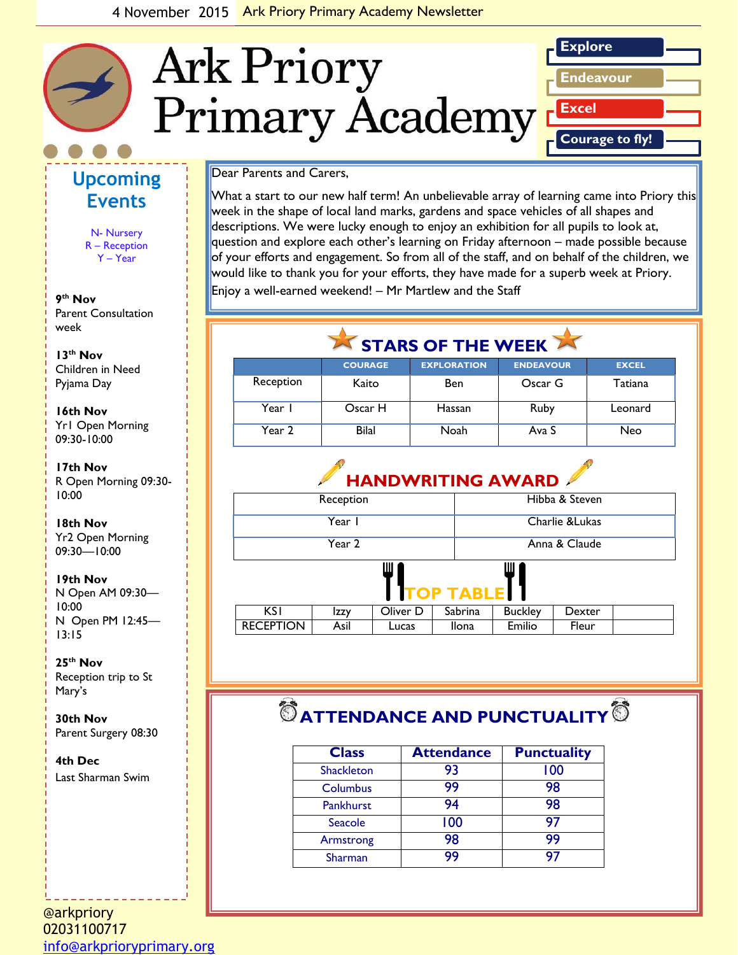

### **Upcoming Events**

N- Nursery R – Reception Y – Year

**9 th Nov** Parent Consultation week

*picture or graphic.* **13th Nov** Children in Need Pyjama Day

**16th Nov** Yr1 Open Morning 09:30-10:00

**17th Nov**  R Open Morning 09:30- 10:00

#### **18th Nov** Yr2 Open Morning 09:30—10:00

**19th Nov**

N Open AM 09:30— 10:00 N Open PM 12:45— 13:15

**25th Nov**  Reception trip to St Mary's

**30th Nov** Parent Surgery 08:30

**4th Dec** Last Sharman Swim

#### @arkpriory 02031100717 [info@arkprioryprimary.org](mailto:info@arkprioryprimary.org)

#### Dear Parents and Carers,

What a start to our new half term! An unbelievable array of learning came into Priory this week in the shape of local land marks, gardens and space vehicles of all shapes and descriptions. We were lucky enough to enjoy an exhibition for all pupils to look at, question and explore each other's learning on Friday afternoon – made possible because of your efforts and engagement. So from all of the staff, and on behalf of the children, we would like to thank you for your efforts, they have made for a superb week at Priory. Enjoy a well-earned weekend! – Mr Martlew and the Staff

# STARS OF THE WEEK

|           | <b>COURAGE</b> | <b>EXPLORATION</b> | <b>ENDEAVOUR</b> | <b>EXCEL</b> |
|-----------|----------------|--------------------|------------------|--------------|
| Reception | Kaito          | <b>Ben</b>         | Oscar G          | Tatiana      |
| Year I    | Oscar H        | Hassan             | Ruby             | Leonard      |
| Year 2    | <b>Bilal</b>   | Noah               | Ava S            | Neo          |

### **HANDWRITING AWARD**

| Reception           |      |          |         | Hibba & Steven  |        |  |
|---------------------|------|----------|---------|-----------------|--------|--|
| Year I              |      |          |         | Charlie & Lukas |        |  |
| Year 2              |      |          |         | Anna & Claude   |        |  |
| Ш<br>Ш<br>TOP TABLE |      |          |         |                 |        |  |
| <b>KSI</b>          | Izzy | Oliver D | Sabrina | <b>Buckley</b>  | Dexter |  |
| <b>RECEPTION</b>    | Asil | Lucas    | Ilona   | Emilio          | Fleur  |  |

# $\bullet$  ATTENDANCE AND PUNCTUALITY  $\bullet$

| <b>Class</b>      | <b>Attendance</b> | <b>Punctuality</b> |
|-------------------|-------------------|--------------------|
| <b>Shackleton</b> | 93                | 100                |
| Columbus          | 99                | 98                 |
| Pankhurst         | 94                | 98                 |
| Seacole           | 100               | 97                 |
| Armstrong         | 98                | 99                 |
| Sharman           | 99                | 97                 |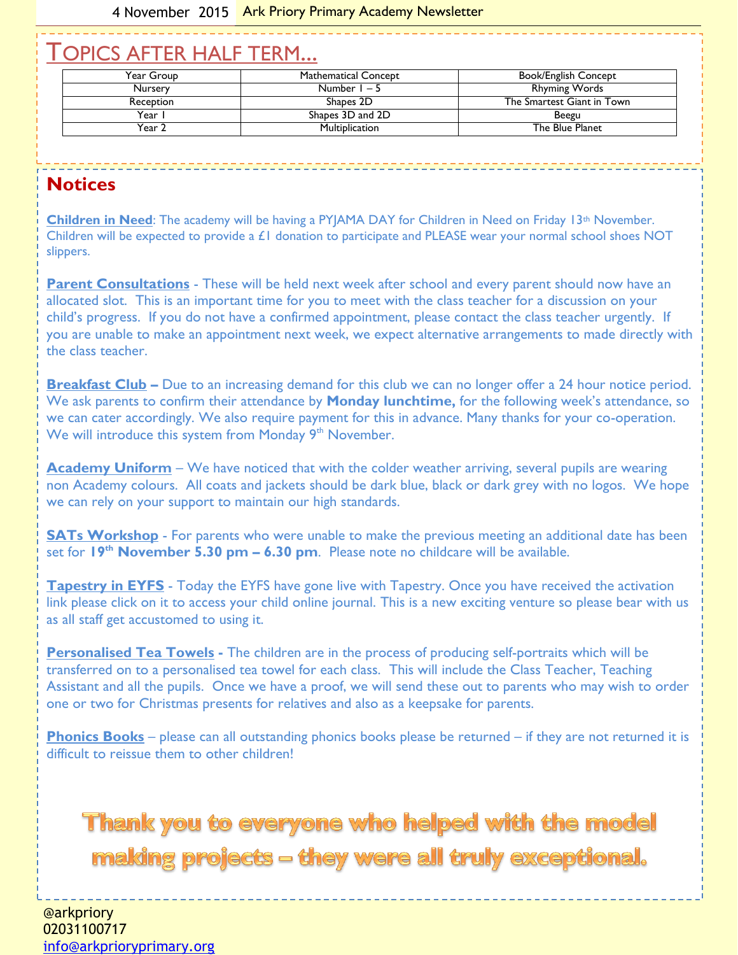## TOPICS AFTER HALF TERM...

| Year Group | Mathematical Concept | <b>Book/English Concept</b> |
|------------|----------------------|-----------------------------|
| Nursery    | Number $1 - 5$       | <b>Rhyming Words</b>        |
| Reception  | Shapes 2D            | The Smartest Giant in Town  |
| Year       | Shapes 3D and 2D     | Beegu                       |
| Year 2     | Multiplication       | The Blue Planet             |

### **Notices**

**Children in Need**: The academy will be having a PYJAMA DAY for Children in Need on Friday 13th November. Children will be expected to provide a £1 donation to participate and PLEASE wear your normal school shoes NOT slippers.

**Parent Consultations** - These will be held next week after school and every parent should now have an allocated slot. This is an important time for you to meet with the class teacher for a discussion on your child's progress. If you do not have a confirmed appointment, please contact the class teacher urgently. If you are unable to make an appointment next week, we expect alternative arrangements to made directly with the class teacher.

**Breakfast Club** – Due to an increasing demand for this club we can no longer offer a 24 hour notice period. We ask parents to confirm their attendance by **Monday lunchtime,** for the following week's attendance, so we can cater accordingly. We also require payment for this in advance. Many thanks for your co-operation. We will introduce this system from Monday 9<sup>th</sup> November.

**Academy Uniform** – We have noticed that with the colder weather arriving, several pupils are wearing non Academy colours. All coats and jackets should be dark blue, black or dark grey with no logos. We hope we can rely on your support to maintain our high standards.

**SATs Workshop** - For parents who were unable to make the previous meeting an additional date has been set for **19th November 5.30 pm – 6.30 pm**. Please note no childcare will be available.

**Tapestry in EYFS** - Today the EYFS have gone live with Tapestry. Once you have received the activation link please click on it to access your child online journal. This is a new exciting venture so please bear with us as all staff get accustomed to using it.

**Personalised Tea Towels -** The children are in the process of producing self-portraits which will be transferred on to a personalised tea towel for each class. This will include the Class Teacher, Teaching Assistant and all the pupils. Once we have a proof, we will send these out to parents who may wish to order one or two for Christmas presents for relatives and also as a keepsake for parents.

**Phonics Books** – please can all outstanding phonics books please be returned – if they are not returned it is difficult to reissue them to other children!

**Thank you to everyone who helped with the model** making projects - they were all truly exceptional.

@arkpriory 02031100717 [info@arkprioryprimary.org](mailto:info@arkprioryprimary.org)